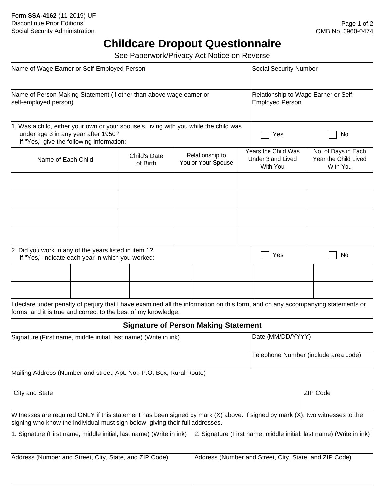## **Childcare Dropout Questionnaire**

See Paperwork/Privacy Act Notice on Reverse

| Name of Wage Earner or Self-Employed Person                                                                                                                               |  |                          |                                       |                                                                     | <b>Social Security Number</b>                        |                                                                |                                                                                                                                 |  |
|---------------------------------------------------------------------------------------------------------------------------------------------------------------------------|--|--------------------------|---------------------------------------|---------------------------------------------------------------------|------------------------------------------------------|----------------------------------------------------------------|---------------------------------------------------------------------------------------------------------------------------------|--|
| Name of Person Making Statement (If other than above wage earner or<br>self-employed person)                                                                              |  |                          |                                       |                                                                     |                                                      | Relationship to Wage Earner or Self-<br><b>Employed Person</b> |                                                                                                                                 |  |
| 1. Was a child, either your own or your spouse's, living with you while the child was<br>under age 3 in any year after 1950?<br>If "Yes," give the following information: |  |                          |                                       |                                                                     |                                                      | Yes                                                            | No                                                                                                                              |  |
| Name of Each Child                                                                                                                                                        |  | Child's Date<br>of Birth | Relationship to<br>You or Your Spouse |                                                                     | Years the Child Was<br>Under 3 and Lived<br>With You |                                                                | No. of Days in Each<br>Year the Child Lived<br>With You                                                                         |  |
|                                                                                                                                                                           |  |                          |                                       |                                                                     |                                                      |                                                                |                                                                                                                                 |  |
|                                                                                                                                                                           |  |                          |                                       |                                                                     |                                                      |                                                                |                                                                                                                                 |  |
| 2. Did you work in any of the years listed in item 1?<br>If "Yes," indicate each year in which you worked:                                                                |  |                          |                                       |                                                                     |                                                      | Yes                                                            | No                                                                                                                              |  |
|                                                                                                                                                                           |  |                          |                                       |                                                                     |                                                      |                                                                |                                                                                                                                 |  |
|                                                                                                                                                                           |  |                          |                                       |                                                                     |                                                      |                                                                |                                                                                                                                 |  |
| forms, and it is true and correct to the best of my knowledge.                                                                                                            |  |                          |                                       |                                                                     |                                                      |                                                                | I declare under penalty of perjury that I have examined all the information on this form, and on any accompanying statements or |  |
| <b>Signature of Person Making Statement</b>                                                                                                                               |  |                          |                                       |                                                                     |                                                      |                                                                |                                                                                                                                 |  |
| Signature (First name, middle initial, last name) (Write in ink)                                                                                                          |  |                          |                                       |                                                                     |                                                      | Date (MM/DD/YYYY)                                              |                                                                                                                                 |  |
|                                                                                                                                                                           |  |                          |                                       |                                                                     | Telephone Number (include area code)                 |                                                                |                                                                                                                                 |  |
| Mailing Address (Number and street, Apt. No., P.O. Box, Rural Route)                                                                                                      |  |                          |                                       |                                                                     |                                                      |                                                                |                                                                                                                                 |  |
| City and State                                                                                                                                                            |  |                          |                                       |                                                                     |                                                      |                                                                | <b>ZIP Code</b>                                                                                                                 |  |
| signing who know the individual must sign below, giving their full addresses.                                                                                             |  |                          |                                       |                                                                     |                                                      |                                                                | Witnesses are required ONLY if this statement has been signed by mark (X) above. If signed by mark (X), two witnesses to the    |  |
| 1. Signature (First name, middle initial, last name) (Write in ink)                                                                                                       |  |                          |                                       | 2. Signature (First name, middle initial, last name) (Write in ink) |                                                      |                                                                |                                                                                                                                 |  |
| Address (Number and Street, City, State, and ZIP Code)                                                                                                                    |  |                          |                                       | Address (Number and Street, City, State, and ZIP Code)              |                                                      |                                                                |                                                                                                                                 |  |